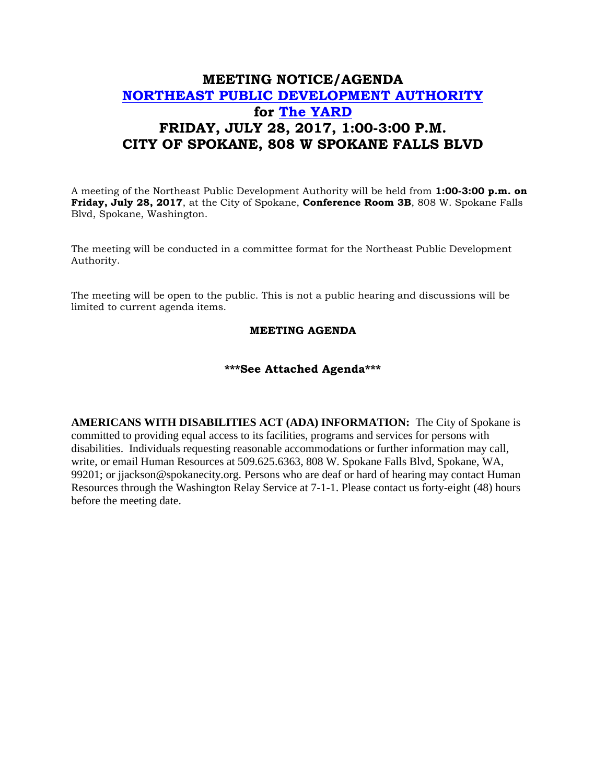## **MEETING NOTICE/AGENDA [NORTHEAST PUBLIC DEVELOPMENT AUTHORITY](https://beta.spokanecity.org/bcc/boards/northeast-public-development-authority/) for [The YARD](https://beta.spokanecity.org/projects/theyard/) FRIDAY, JULY 28, 2017, 1:00-3:00 P.M. CITY OF SPOKANE, 808 W SPOKANE FALLS BLVD**

A meeting of the Northeast Public Development Authority will be held from **1:00-3:00 p.m. on Friday, July 28, 2017**, at the City of Spokane, **Conference Room 3B**, 808 W. Spokane Falls Blvd, Spokane, Washington.

The meeting will be conducted in a committee format for the Northeast Public Development Authority.

The meeting will be open to the public. This is not a public hearing and discussions will be limited to current agenda items.

## **MEETING AGENDA**

## **\*\*\*See Attached Agenda\*\*\***

**AMERICANS WITH DISABILITIES ACT (ADA) INFORMATION:** The City of Spokane is committed to providing equal access to its facilities, programs and services for persons with disabilities. Individuals requesting reasonable accommodations or further information may call, write, or email Human Resources at 509.625.6363, 808 W. Spokane Falls Blvd, Spokane, WA, 99201; or jjackson@spokanecity.org. Persons who are deaf or hard of hearing may contact Human Resources through the Washington Relay Service at 7-1-1. Please contact us forty-eight (48) hours before the meeting date.